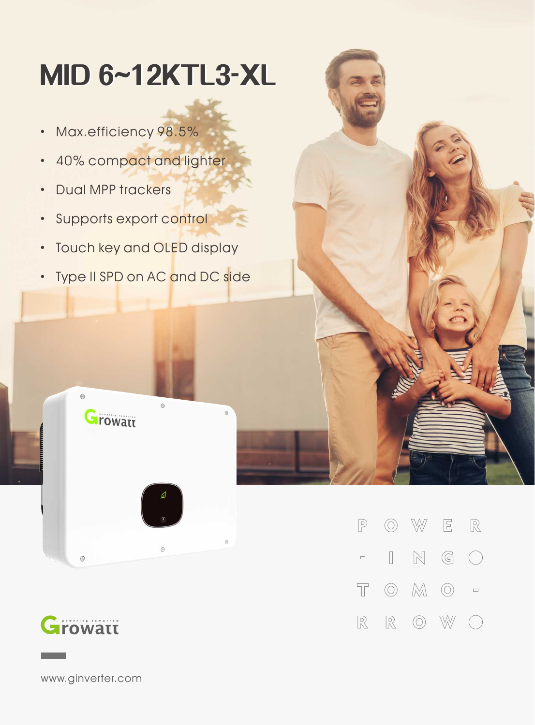## **MID6~12KTL3-XL**

- · Max.efficiency 98.5%
- · 40% compact and lighter
- · Dual MPP trackers
- · Supports export control
- · Touch key and OLED display
- · Type II SPD on AC and DC side

 $\circ$ 



 $\circledcirc$ 

 $^{\circ}$ 

**Growatt** 

W  $\mathbf{E}$  $\mathbb{R}$  $\mathbb{P}$  $\circledcirc$  $\mathbb{N}$  $\mathbb{G}$  $\hfill\Box$  $\left(\begin{array}{c}\right)$  $\hfill \square$  $\overline{\mathbb{T}}$  $\circledcirc$  $M$   $\odot$  $\Box$  $\mathbb R$  $\mathbb{R}$  $\circledcirc$ W

www.ginverter.com